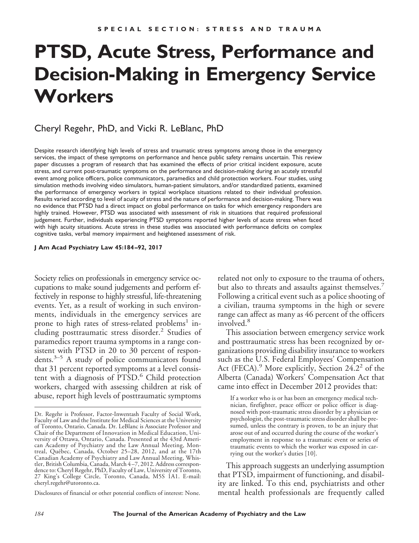# **PTSD, Acute Stress, Performance and Decision-Making in Emergency Service Workers**

# Cheryl Regehr, PhD, and Vicki R. LeBlanc, PhD

Despite research identifying high levels of stress and traumatic stress symptoms among those in the emergency services, the impact of these symptoms on performance and hence public safety remains uncertain. This review paper discusses a program of research that has examined the effects of prior critical incident exposure, acute stress, and current post-traumatic symptoms on the performance and decision-making during an acutely stressful event among police officers, police communicators, paramedics and child protection workers. Four studies, using simulation methods involving video simulators, human-patient simulators, and/or standardized patients, examined the performance of emergency workers in typical workplace situations related to their individual profession. Results varied according to level of acuity of stress and the nature of performance and decision-making. There was no evidence that PTSD had a direct impact on global performance on tasks for which emergency responders are highly trained. However, PTSD was associated with assessment of risk in situations that required professional judgement. Further, individuals experiencing PTSD symptoms reported higher levels of acute stress when faced with high acuity situations. Acute stress in these studies was associated with performance deficits on complex cognitive tasks, verbal memory impairment and heightened assessment of risk.

#### **J Am Acad Psychiatry Law 45:184 –92, 2017**

Society relies on professionals in emergency service occupations to make sound judgements and perform effectively in response to highly stressful, life-threatening events. Yet, as a result of working in such environments, individuals in the emergency services are prone to high rates of stress-related problems<sup>1</sup> including posttraumatic stress disorder.<sup>2</sup> Studies of paramedics report trauma symptoms in a range consistent with PTSD in 20 to 30 percent of respondents.3–5 A study of police communicators found that 31 percent reported symptoms at a level consistent with a diagnosis of PTSD.<sup>6</sup> Child protection workers, charged with assessing children at risk of abuse, report high levels of posttraumatic symptoms

Disclosures of financial or other potential conflicts of interest: None.

related not only to exposure to the trauma of others, but also to threats and assaults against themselves. Following a critical event such as a police shooting of a civilian, trauma symptoms in the high or severe range can affect as many as 46 percent of the officers involved.<sup>8</sup>

This association between emergency service work and posttraumatic stress has been recognized by organizations providing disability insurance to workers such as the U.S. Federal Employees' Compensation Act (FECA).<sup>9</sup> More explicitly, Section 24.2<sup>2</sup> of the Alberta (Canada) Workers' Compensation Act that came into effect in December 2012 provides that:

If a worker who is or has been an emergency medical technician, firefighter, peace officer or police officer is diagnosed with post-traumatic stress disorder by a physician or psychologist, the post-traumatic stress disorder shall be presumed, unless the contrary is proven, to be an injury that arose out of and occurred during the course of the worker's employment in response to a traumatic event or series of traumatic events to which the worker was exposed in carrying out the worker's duties [10].

This approach suggests an underlying assumption that PTSD, impairment of functioning, and disability are linked. To this end, psychiatrists and other mental health professionals are frequently called

Dr. Regehr is Professor, Factor-Inwentash Faculty of Social Work, Faculty of Law and the Institute for Medical Sciences at the University of Toronto, Ontario, Canada. Dr. LeBlanc is Associate Professor and Chair of the Department of Innovation in Medical Education, University of Ottawa, Ontario, Canada. Presented at the 43rd American Academy of Psychiatry and the Law Annual Meeting, Montreal, Québec, Canada, October 25–28, 2012, and at the 17th Canadian Academy of Psychiatry and Law Annual Meeting, Whistler, British Columbia, Canada, March 4 –7, 2012. Address correspondence to: Cheryl Regehr, PhD, Faculty of Law, University of Toronto, 27 King's College Circle, Toronto, Canada, M5S 1A1. E-mail: cheryl.regehr@utoronto.ca.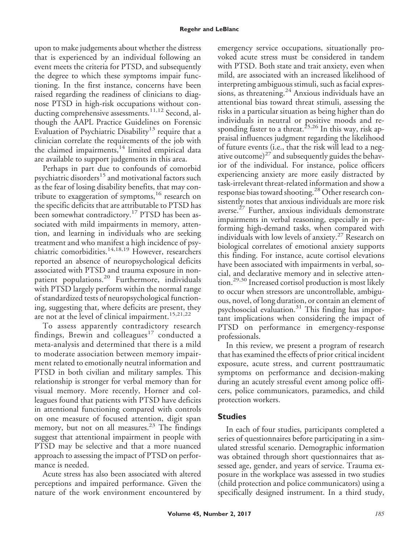upon to make judgements about whether the distress that is experienced by an individual following an event meets the criteria for PTSD, and subsequently the degree to which these symptoms impair functioning. In the first instance, concerns have been raised regarding the readiness of clinicians to diagnose PTSD in high-risk occupations without conducting comprehensive assessments.<sup>11,12</sup> Second, although the AAPL Practice Guidelines on Forensic Evaluation of Psychiatric Disability<sup>13</sup> require that a clinician correlate the requirements of the job with the claimed impairments,<sup>14</sup> limited empirical data are available to support judgements in this area.

Perhaps in part due to confounds of comorbid psychiatric disorders<sup>15</sup> and motivational factors such as the fear of losing disability benefits, that may contribute to exaggeration of symptoms,<sup>16</sup> research on the specific deficits that are attributable to PTSD has been somewhat contradictory.<sup>17</sup> PTSD has been associated with mild impairments in memory, attention, and learning in individuals who are seeking treatment and who manifest a high incidence of psychiatric comorbidities.<sup>14,18,19</sup> However, researchers reported an absence of neuropsychological deficits associated with PTSD and trauma exposure in nonpatient populations.<sup>20</sup> Furthermore, individuals with PTSD largely perform within the normal range of standardized tests of neuropsychological functioning, suggesting that, where deficits are present, they are not at the level of clinical impairment.<sup>15,21,22</sup>

To assess apparently contradictory research findings, Brewin and colleagues<sup>17</sup> conducted a meta-analysis and determined that there is a mild to moderate association between memory impairment related to emotionally neutral information and PTSD in both civilian and military samples. This relationship is stronger for verbal memory than for visual memory. More recently, Horner and colleagues found that patients with PTSD have deficits in attentional functioning compared with controls on one measure of focused attention, digit span memory, but not on all measures.<sup>23</sup> The findings suggest that attentional impairment in people with PTSD may be selective and that a more nuanced approach to assessing the impact of PTSD on performance is needed.

Acute stress has also been associated with altered perceptions and impaired performance. Given the nature of the work environment encountered by

emergency service occupations, situationally provoked acute stress must be considered in tandem with PTSD. Both state and trait anxiety, even when mild, are associated with an increased likelihood of interpreting ambiguous stimuli, such as facial expressions, as threatening.<sup>24</sup> Anxious individuals have an attentional bias toward threat stimuli, assessing the risks in a particular situation as being higher than do individuals in neutral or positive moods and responding faster to a threat.<sup>25,26</sup> In this way, risk appraisal influences judgment regarding the likelihood of future events (i.e., that the risk will lead to a negative outcome)<sup>27</sup> and subsequently guides the behavior of the individual. For instance, police officers experiencing anxiety are more easily distracted by task-irrelevant threat-related information and show a response bias toward shooting.<sup>28</sup> Other research consistently notes that anxious individuals are more risk averse.<sup>27</sup> Further, anxious individuals demonstrate impairments in verbal reasoning, especially in performing high-demand tasks, when compared with individuals with low levels of anxiety.<sup>27</sup> Research on biological correlates of emotional anxiety supports this finding. For instance, acute cortisol elevations have been associated with impairments in verbal, social, and declarative memory and in selective attention.29,30 Increased cortisol production is most likely to occur when stressors are uncontrollable, ambiguous, novel, of long duration, or contain an element of psychosocial evaluation.<sup>31</sup> This finding has important implications when considering the impact of PTSD on performance in emergency-response professionals.

In this review, we present a program of research that has examined the effects of prior critical incident exposure, acute stress, and current posttraumatic symptoms on performance and decision-making during an acutely stressful event among police officers, police communicators, paramedics, and child protection workers.

## **Studies**

In each of four studies, participants completed a series of questionnaires before participating in a simulated stressful scenario. Demographic information was obtained through short questionnaires that assessed age, gender, and years of service. Trauma exposure in the workplace was assessed in two studies (child protection and police communicators) using a specifically designed instrument. In a third study,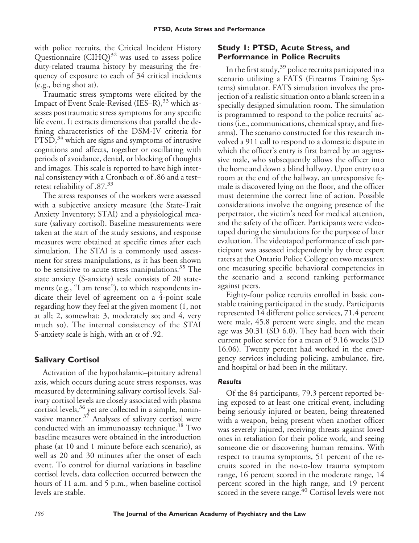with police recruits, the Critical Incident History Questionnaire  $\text{(CHQ)}^{32}$  was used to assess police duty-related trauma history by measuring the frequency of exposure to each of 34 critical incidents (e.g., being shot at).

Traumatic stress symptoms were elicited by the Impact of Event Scale-Revised (IES–R),<sup>33</sup> which assesses posttraumatic stress symptoms for any specific life event. It extracts dimensions that parallel the defining characteristics of the DSM-IV criteria for  $PTSD<sup>34</sup>$  which are signs and symptoms of intrusive cognitions and affects, together or oscillating with periods of avoidance, denial, or blocking of thoughts and images. This scale is reported to have high internal consistency with a Cronbach  $\alpha$  of .86 and a test– retest reliability of .87.<sup>33</sup>

The stress responses of the workers were assessed with a subjective anxiety measure (the State-Trait Anxiety Inventory; STAI) and a physiological measure (salivary cortisol). Baseline measurements were taken at the start of the study sessions, and response measures were obtained at specific times after each simulation. The STAI is a commonly used assessment for stress manipulations, as it has been shown to be sensitive to acute stress manipulations. $35$  The state anxiety (S-anxiety) scale consists of 20 statements (e.g., "I am tense"), to which respondents indicate their level of agreement on a 4-point scale regarding how they feel at the given moment (1, not at all; 2, somewhat; 3, moderately so; and 4, very much so). The internal consistency of the STAI S-anxiety scale is high, with an  $\alpha$  of .92.

#### **Salivary Cortisol**

Activation of the hypothalamic–pituitary adrenal axis, which occurs during acute stress responses, was measured by determining salivary cortisol levels. Salivary cortisol levels are closely associated with plasma cortisol levels,<sup>36</sup> yet are collected in a simple, noninvasive manner. $3^7$  Analyses of salivary cortisol were conducted with an immunoassay technique.<sup>38</sup> Two baseline measures were obtained in the introduction phase (at 10 and 1 minute before each scenario), as well as 20 and 30 minutes after the onset of each event. To control for diurnal variations in baseline cortisol levels, data collection occurred between the hours of 11 a.m. and 5 p.m., when baseline cortisol levels are stable.

## **Study 1: PTSD, Acute Stress, and Performance in Police Recruits**

In the first study,<sup>39</sup> police recruits participated in a scenario utilizing a FATS (Firearms Training Systems) simulator. FATS simulation involves the projection of a realistic situation onto a blank screen in a specially designed simulation room. The simulation is programmed to respond to the police recruits' actions (i.e., communications, chemical spray, and firearms). The scenario constructed for this research involved a 911 call to respond to a domestic dispute in which the officer's entry is first barred by an aggressive male, who subsequently allows the officer into the home and down a blind hallway. Upon entry to a room at the end of the hallway, an unresponsive female is discovered lying on the floor, and the officer must determine the correct line of action. Possible considerations involve the ongoing presence of the perpetrator, the victim's need for medical attention, and the safety of the officer. Participants were videotaped during the simulations for the purpose of later evaluation. The videotaped performance of each participant was assessed independently by three expert raters at the Ontario Police College on two measures: one measuring specific behavioral competencies in the scenario and a second ranking performance against peers.

Eighty-four police recruits enrolled in basic constable training participated in the study. Participants represented 14 different police services, 71.4 percent were male, 45.8 percent were single, and the mean age was 30.31 (SD 6.0). They had been with their current police service for a mean of 9.16 weeks (SD 16.06). Twenty percent had worked in the emergency services including policing, ambulance, fire, and hospital or had been in the military.

#### *Results*

Of the 84 participants, 79.3 percent reported being exposed to at least one critical event, including being seriously injured or beaten, being threatened with a weapon, being present when another officer was severely injured, receiving threats against loved ones in retaliation for their police work, and seeing someone die or discovering human remains. With respect to trauma symptoms, 51 percent of the recruits scored in the no-to-low trauma symptom range, 16 percent scored in the moderate range, 14 percent scored in the high range, and 19 percent scored in the severe range.<sup>40</sup> Cortisol levels were not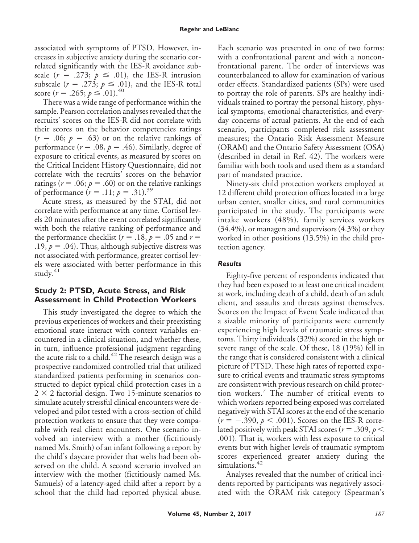associated with symptoms of PTSD. However, increases in subjective anxiety during the scenario correlated significantly with the IES-R avoidance subscale  $(r = .273; p \le .01)$ , the IES-R intrusion subscale ( $r = .273$ ;  $p \le .01$ ), and the IES-R total score ( $r = .265$ ;  $p \le .01$ ).<sup>40</sup>

There was a wide range of performance within the sample. Pearson correlation analyses revealed that the recruits' scores on the IES-R did not correlate with their scores on the behavior competencies ratings  $(r = .06; p = .63)$  or on the relative rankings of performance ( $r = .08$ ,  $p = .46$ ). Similarly, degree of exposure to critical events, as measured by scores on the Critical Incident History Questionnaire, did not correlate with the recruits' scores on the behavior ratings ( $r = .06$ ;  $p = .60$ ) or on the relative rankings of performance  $(r = .11; p = .31).^{39}$ 

Acute stress, as measured by the STAI, did not correlate with performance at any time. Cortisol levels 20 minutes after the event correlated significantly with both the relative ranking of performance and the performance checklist ( $r = .18$ ,  $p = .05$  and  $r =$ .19,  $p = .04$ ). Thus, although subjective distress was not associated with performance, greater cortisol levels were associated with better performance in this study.<sup>41</sup>

#### **Study 2: PTSD, Acute Stress, and Risk Assessment in Child Protection Workers**

This study investigated the degree to which the previous experiences of workers and their preexisting emotional state interact with context variables encountered in a clinical situation, and whether these, in turn, influence professional judgment regarding the acute risk to a child.<sup>42</sup> The research design was a prospective randomized controlled trial that utilized standardized patients performing in scenarios constructed to depict typical child protection cases in a  $2 \times 2$  factorial design. Two 15-minute scenarios to simulate acutely stressful clinical encounters were developed and pilot tested with a cross-section of child protection workers to ensure that they were comparable with real client encounters. One scenario involved an interview with a mother (fictitiously named Ms. Smith) of an infant following a report by the child's daycare provider that welts had been observed on the child. A second scenario involved an interview with the mother (fictitiously named Ms. Samuels) of a latency-aged child after a report by a school that the child had reported physical abuse.

Each scenario was presented in one of two forms: with a confrontational parent and with a nonconfrontational parent. The order of interviews was counterbalanced to allow for examination of various order effects. Standardized patients (SPs) were used to portray the role of parents. SPs are healthy individuals trained to portray the personal history, physical symptoms, emotional characteristics, and everyday concerns of actual patients. At the end of each scenario, participants completed risk assessment measures; the Ontario Risk Assessment Measure (ORAM) and the Ontario Safety Assessment (OSA) (described in detail in Ref. 42). The workers were familiar with both tools and used them as a standard part of mandated practice.

Ninety-six child protection workers employed at 12 different child protection offices located in a large urban center, smaller cities, and rural communities participated in the study. The participants were intake workers (48%), family services workers (34.4%), or managers and supervisors (4.3%) or they worked in other positions (13.5%) in the child protection agency.

#### *Results*

Eighty-five percent of respondents indicated that they had been exposed to at least one critical incident at work, including death of a child, death of an adult client, and assaults and threats against themselves. Scores on the Impact of Event Scale indicated that a sizable minority of participants were currently experiencing high levels of traumatic stress symptoms. Thirty individuals (32%) scored in the high or severe range of the scale. Of these, 18 (19%) fell in the range that is considered consistent with a clinical picture of PTSD. These high rates of reported exposure to critical events and traumatic stress symptoms are consistent with previous research on child protection workers.<sup>7</sup> The number of critical events to which workers reported being exposed was correlated negatively with STAI scores at the end of the scenario  $(r = -.390, p < .001)$ . Scores on the IES-R correlated positively with peak STAI scores ( $r = .309, p <$ .001). That is, workers with less exposure to critical events but with higher levels of traumatic symptom scores experienced greater anxiety during the simulations.<sup>42</sup>

Analyses revealed that the number of critical incidents reported by participants was negatively associated with the ORAM risk category (Spearman's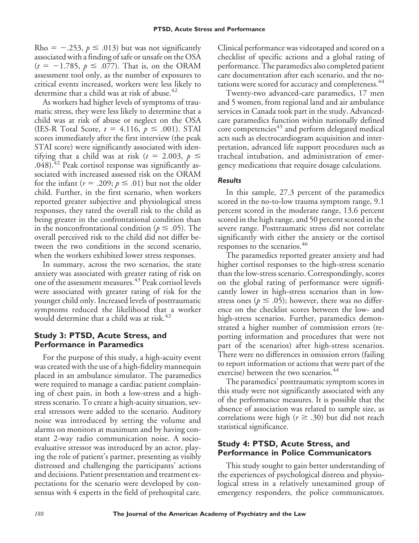Rho =  $-.253$ ,  $p \leq .013$ ) but was not significantly associated with a finding of safe or unsafe on the OSA  $(t = -1.785, p \le .077)$ . That is, on the ORAM assessment tool only, as the number of exposures to critical events increased, workers were less likely to determine that a child was at risk of abuse.<sup>42</sup>

As workers had higher levels of symptoms of traumatic stress, they were less likely to determine that a child was at risk of abuse or neglect on the OSA (IES-R Total Score,  $t = 4.116$ ,  $p \le .001$ ). STAI scores immediately after the first interview (the peak STAI score) were significantly associated with identifying that a child was at risk ( $t = 2.003$ ,  $p \le$  $.048$ ).<sup>42</sup> Peak cortisol response was significantly associated with increased assessed risk on the ORAM for the infant ( $r = .209; p \le .01$ ) but not the older child. Further, in the first scenario, when workers reported greater subjective and physiological stress responses, they rated the overall risk to the child as being greater in the confrontational condition than in the nonconfrontational condition ( $p \leq .05$ ). The overall perceived risk to the child did not differ between the two conditions in the second scenario, when the workers exhibited lower stress responses.

In summary, across the two scenarios, the state anxiety was associated with greater rating of risk on one of the assessment measures.<sup>43</sup> Peak cortisol levels were associated with greater rating of risk for the younger child only. Increased levels of posttraumatic symptoms reduced the likelihood that a worker would determine that a child was at risk.<sup>42</sup>

#### **Study 3: PTSD, Acute Stress, and Performance in Paramedics**

For the purpose of this study, a high-acuity event was created with the use of a high-fidelity mannequin placed in an ambulance simulator. The paramedics were required to manage a cardiac patient complaining of chest pain, in both a low-stress and a highstress scenario. To create a high-acuity situation, several stressors were added to the scenario. Auditory noise was introduced by setting the volume and alarms on monitors at maximum and by having constant 2-way radio communication noise. A socioevaluative stressor was introduced by an actor, playing the role of patient's partner, presenting as visibly distressed and challenging the participants' actions and decisions. Patient presentation and treatment expectations for the scenario were developed by consensus with 4 experts in the field of prehospital care.

Clinical performance was videotaped and scored on a checklist of specific actions and a global rating of performance. The paramedics also completed patient care documentation after each scenario, and the notations were scored for accuracy and completeness.<sup>44</sup>

Twenty-two advanced-care paramedics, 17 men and 5 women, from regional land and air ambulance services in Canada took part in the study. Advancedcare paramedics function within nationally defined core competencies<sup>45</sup> and perform delegated medical acts such as electrocardiogram acquisition and interpretation, advanced life support procedures such as tracheal intubation, and administration of emergency medications that require dosage calculations.

#### *Results*

In this sample, 27.3 percent of the paramedics scored in the no-to-low trauma symptom range, 9.1 percent scored in the moderate range, 13.6 percent scored in the high range, and 50 percent scored in the severe range. Posttraumatic stress did not correlate significantly with either the anxiety or the cortisol responses to the scenarios.<sup>46</sup>

The paramedics reported greater anxiety and had higher cortisol responses to the high-stress scenario than the low-stress scenario. Correspondingly, scores on the global rating of performance were significantly lower in high-stress scenarios than in lowstress ones ( $p \le .05$ ); however, there was no difference on the checklist scores between the low- and high-stress scenarios. Further, paramedics demonstrated a higher number of commission errors (reporting information and procedures that were not part of the scenarios) after high-stress scenarios. There were no differences in omission errors (failing to report information or actions that were part of the exercise) between the two scenarios.<sup>44</sup>

The paramedics' posttraumatic symptom scores in this study were not significantly associated with any of the performance measures. It is possible that the absence of association was related to sample size, as correlations were high ( $r \geq .30$ ) but did not reach statistical significance.

#### **Study 4: PTSD, Acute Stress, and Performance in Police Communicators**

This study sought to gain better understanding of the experiences of psychological distress and physiological stress in a relatively unexamined group of emergency responders, the police communicators.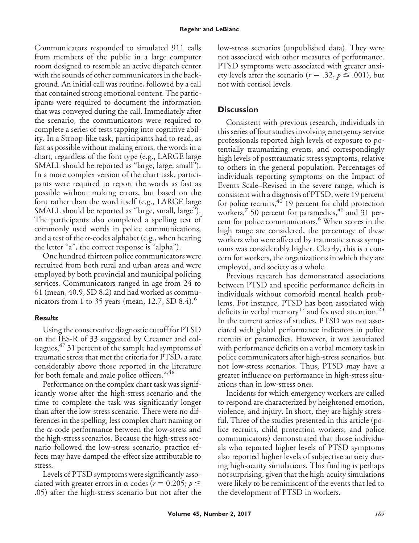Communicators responded to simulated 911 calls from members of the public in a large computer room designed to resemble an active dispatch center with the sounds of other communicators in the background. An initial call was routine, followed by a call that contained strong emotional content. The participants were required to document the information that was conveyed during the call. Immediately after the scenario, the communicators were required to complete a series of tests tapping into cognitive ability. In a Stroop-like task, participants had to read, as fast as possible without making errors, the words in a chart, regardless of the font type (e.g., LARGE large SMALL should be reported as "large, large, small"). In a more complex version of the chart task, participants were required to report the words as fast as possible without making errors, but based on the font rather than the word itself (e.g., LARGE large SMALL should be reported as "large, small, large"). The participants also completed a spelling test of commonly used words in police communications, and a test of the  $\alpha$ -codes alphabet (e.g., when hearing the letter "a", the correct response is "alpha").

One hundred thirteen police communicators were recruited from both rural and urban areas and were employed by both provincial and municipal policing services. Communicators ranged in age from 24 to 61 (mean, 40.9, SD 8.2) and had worked as communicators from 1 to 35 years (mean, 12.7, SD 8.4). $\rm ^{6}$ 

#### *Results*

Using the conservative diagnostic cutoff for PTSD on the IES-R of 33 suggested by Creamer and colleagues,  $47$  31 percent of the sample had symptoms of traumatic stress that met the criteria for PTSD, a rate considerably above those reported in the literature for both female and male police officers.<sup>2,48</sup>

Performance on the complex chart task was significantly worse after the high-stress scenario and the time to complete the task was significantly longer than after the low-stress scenario. There were no differences in the spelling, less complex chart naming or the  $\alpha$ -code performance between the low-stress and the high-stress scenarios. Because the high-stress scenario followed the low-stress scenario, practice effects may have damped the effect size attributable to stress.

Levels of PTSD symptoms were significantly associated with greater errors in  $\alpha$  codes ( $r = 0.205; p \leq$ .05) after the high-stress scenario but not after the low-stress scenarios (unpublished data). They were not associated with other measures of performance. PTSD symptoms were associated with greater anxiety levels after the scenario ( $r = .32$ ,  $p \le .001$ ), but not with cortisol levels.

# **Discussion**

Consistent with previous research, individuals in this series of four studies involving emergency service professionals reported high levels of exposure to potentially traumatizing events, and correspondingly high levels of posttraumatic stress symptoms, relative to others in the general population. Percentages of individuals reporting symptoms on the Impact of Events Scale–Revised in the severe range, which is consistent with a diagnosis of PTSD, were 19 percent for police recruits,  $40^{\circ}$  19 percent for child protection workers,<sup>7</sup> 50 percent for paramedics,<sup>46</sup> and 31 percent for police communicators.<sup>6</sup> When scores in the high range are considered, the percentage of these workers who were affected by traumatic stress symptoms was considerably higher. Clearly, this is a concern for workers, the organizations in which they are employed, and society as a whole.

Previous research has demonstrated associations between PTSD and specific performance deficits in individuals without comorbid mental health problems. For instance, PTSD has been associated with deficits in verbal memory<sup>17</sup> and focused attention.<sup>23</sup> In the current series of studies, PTSD was not associated with global performance indicators in police recruits or paramedics. However, it was associated with performance deficits on a verbal memory task in police communicators after high-stress scenarios, but not low-stress scenarios. Thus, PTSD may have a greater influence on performance in high-stress situations than in low-stress ones.

Incidents for which emergency workers are called to respond are characterized by heightened emotion, violence, and injury. In short, they are highly stressful. Three of the studies presented in this article (police recruits, child protection workers, and police communicators) demonstrated that those individuals who reported higher levels of PTSD symptoms also reported higher levels of subjective anxiety during high-acuity simulations. This finding is perhaps not surprising, given that the high-acuity simulations were likely to be reminiscent of the events that led to the development of PTSD in workers.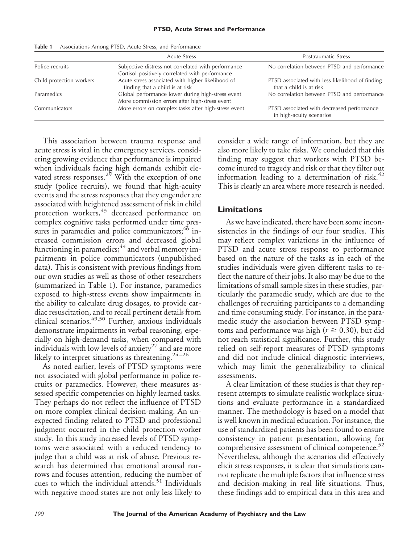|                          | <b>Acute Stress</b>                                                                                    | Posttraumatic Stress                                                       |
|--------------------------|--------------------------------------------------------------------------------------------------------|----------------------------------------------------------------------------|
| Police recruits          | Subjective distress not correlated with performance<br>Cortisol positively correlated with performance | No correlation between PTSD and performance                                |
| Child protection workers | Acute stress associated with higher likelihood of<br>finding that a child is at risk                   | PTSD associated with less likelihood of finding<br>that a child is at risk |
| Paramedics               | Global performance lower during high-stress event<br>More commission errors after high-stress event    | No correlation between PTSD and performance                                |
| Communicators            | More errors on complex tasks after high-stress event                                                   | PTSD associated with decreased performance<br>in high-acuity scenarios     |

**Table 1** Associations Among PTSD, Acute Stress, and Performance

This association between trauma response and acute stress is vital in the emergency services, considering growing evidence that performance is impaired when individuals facing high demands exhibit elevated stress responses.<sup>29</sup> With the exception of one study (police recruits), we found that high-acuity events and the stress responses that they engender are associated with heightened assessment of risk in child protection workers,<sup>43</sup> decreased performance on complex cognitive tasks performed under time pressures in paramedics and police communicators; <sup>46</sup> increased commission errors and decreased global functioning in paramedics;<sup>44</sup> and verbal memory impairments in police communicators (unpublished data). This is consistent with previous findings from our own studies as well as those of other researchers (summarized in Table 1). For instance, paramedics exposed to high-stress events show impairments in the ability to calculate drug dosages, to provide cardiac resuscitation, and to recall pertinent details from clinical scenarios.49,50 Further, anxious individuals demonstrate impairments in verbal reasoning, especially on high-demand tasks, when compared with individuals with low levels of anxiety<sup>27</sup> and are more likely to interpret situations as threatening.<sup>24-26</sup>

As noted earlier, levels of PTSD symptoms were not associated with global performance in police recruits or paramedics. However, these measures assessed specific competencies on highly learned tasks. They perhaps do not reflect the influence of PTSD on more complex clinical decision-making. An unexpected finding related to PTSD and professional judgment occurred in the child protection worker study. In this study increased levels of PTSD symptoms were associated with a reduced tendency to judge that a child was at risk of abuse. Previous research has determined that emotional arousal narrows and focuses attention, reducing the number of cues to which the individual attends.<sup>51</sup> Individuals with negative mood states are not only less likely to

consider a wide range of information, but they are also more likely to take risks. We concluded that this finding may suggest that workers with PTSD become inured to tragedy and risk or that they filter out information leading to a determination of risk. $42$ This is clearly an area where more research is needed.

#### **Limitations**

As we have indicated, there have been some inconsistencies in the findings of our four studies. This may reflect complex variations in the influence of PTSD and acute stress response to performance based on the nature of the tasks as in each of the studies individuals were given different tasks to reflect the nature of their jobs. It also may be due to the limitations of small sample sizes in these studies, particularly the paramedic study, which are due to the challenges of recruiting participants to a demanding and time consuming study. For instance, in the paramedic study the association between PTSD symptoms and performance was high ( $r \ge 0.30$ ), but did not reach statistical significance. Further, this study relied on self-report measures of PTSD symptoms and did not include clinical diagnostic interviews, which may limit the generalizability to clinical assessments.

A clear limitation of these studies is that they represent attempts to simulate realistic workplace situations and evaluate performance in a standardized manner. The methodology is based on a model that is well known in medical education. For instance, the use of standardized patients has been found to ensure consistency in patient presentation, allowing for comprehensive assessment of clinical competence. $52$ Nevertheless, although the scenarios did effectively elicit stress responses, it is clear that simulations cannot replicate the multiple factors that influence stress and decision-making in real life situations. Thus, these findings add to empirical data in this area and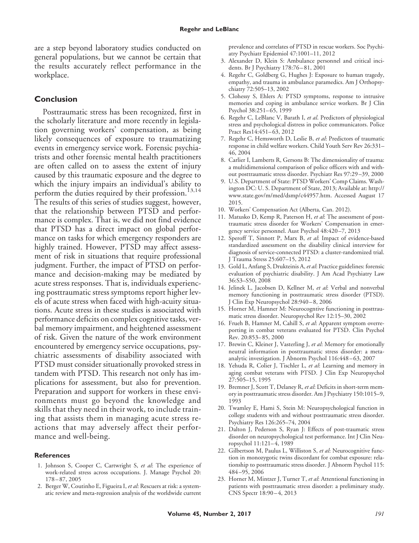are a step beyond laboratory studies conducted on general populations, but we cannot be certain that the results accurately reflect performance in the workplace.

#### **Conclusion**

Posttraumatic stress has been recognized, first in the scholarly literature and more recently in legislation governing workers' compensation, as being likely consequences of exposure to traumatizing events in emergency service work. Forensic psychiatrists and other forensic mental health practitioners are often called on to assess the extent of injury caused by this traumatic exposure and the degree to which the injury impairs an individual's ability to perform the duties required by their profession.<sup>13,14</sup> The results of this series of studies suggest, however, that the relationship between PTSD and performance is complex. That is, we did not find evidence that PTSD has a direct impact on global performance on tasks for which emergency responders are highly trained. However, PTSD may affect assessment of risk in situations that require professional judgment. Further, the impact of PTSD on performance and decision-making may be mediated by acute stress responses. That is, individuals experiencing posttraumatic stress symptoms report higher levels of acute stress when faced with high-acuity situations. Acute stress in these studies is associated with performance deficits on complex cognitive tasks, verbal memory impairment, and heightened assessment of risk. Given the nature of the work environment encountered by emergency service occupations, psychiatric assessments of disability associated with PTSD must consider situationally provoked stress in tandem with PTSD. This research not only has implications for assessment, but also for prevention. Preparation and support for workers in these environments must go beyond the knowledge and skills that they need in their work, to include training that assists them in managing acute stress reactions that may adversely affect their performance and well-being.

#### **References**

- 1. Johnson S, Cooper C, Cartwright S, *et al*: The experience of work-related stress across occupations. J. Manage Psychol 20: 178 – 87, 2005
- 2. Berger W, Coutinho E, Figueira I, *et al*: Rescuers at risk: a systematic review and meta-regression analysis of the worldwide current

prevalence and correlates of PTSD in rescue workers. Soc Psychiatry Psychiatr Epidemiol 47:1001–11, 2012

- 3. Alexander D, Klein S: Ambulance personnel and critical incidents. Br J Psychiatry 178:76 – 81, 2001
- 4. Regehr C, Goldberg G, Hughes J: Exposure to human tragedy, empathy, and trauma in ambulance paramedics. Am J Orthopsychiatry 72:505–13, 2002
- 5. Clohessy S, Ehlers A: PTSD symptoms, response to intrusive memories and coping in ambulance service workers. Br J Clin Psychol 38:251– 65, 1999
- 6. Regehr C, LeBlanc V, Barath I, *et al*. Predictors of physiological stress and psychological distress in police communicators. Police Pract Res14:451-63, 2012
- 7. Regehr C, Hemsworth D, Leslie B, *et al*: Predictors of traumatic response in child welfare workers. Child Youth Serv Rev 26:331– 46, 2004
- 8. Carlier I, Lamberts R, Gersons B: The dimensionality of trauma: a multidimensional comparison of police officers with and without posttraumatic stress disorder. Psychiatr Res 97:29 –39, 2000
- 9. U.S. Department of State: PTSD Workers' Comp Claims. Washington DC: U. S. Department of State, 2013; Available at: [http://](http://www.state.gov/m/med/dsmp/c44957.htm) [www.state.gov/m/med/dsmp/c44957.htm.](http://www.state.gov/m/med/dsmp/c44957.htm) Accessed August 17 2015.
- 10. Workers' Compensation Act (Alberta, Can. 2012).
- 11. Matusko D, Kemp R, Paterson H, *et al*: The assessment of posttraumatic stress disorder for Workers' Compensation in emergency service personnel. Aust Psychol 48:420 –7, 2013
- 12. Speroff T, Sinnott P, Marx B, *et al*: Impact of evidence-based standardized assessment on the disability clinical interview for diagnosis of service-connected PTSD: a cluster-randomized trial. J Trauma Stress 25:607–15, 2012
- 13. Gold L, Anfang S, Drukteinis A, *et al*: Practice guidelines: forensic evaluation of psychiatric disability. J Am Acad Psychiatry Law 36:S3–S50, 2008
- 14. Jelinek L, Jacobsen D, Kellner M, *et al*: Verbal and nonverbal memory functioning in posttraumatic stress disorder (PTSD). J Clin Exp Neuropsychol 28:940 – 8, 2006
- 15. Horner M, Hamner M: Neurocogntive functioning in posttraumatic stress disorder. Neuropsychol Rev 12:15–30, 2002
- 16. Frueh B, Hamner M, Cahill S, *et al*: Apparent symptom overreporting in combat veterans evaluated for PTSD. Clin Psychol Rev. 20:853– 85, 2000
- 17. Brewin C, Kleiner J, Vasterling J, *et al*: Memory for emotionally neutral information in posttraumatic stress disorder: a metaanalytic investigation. J Abnorm Psychol 116:448 – 63, 2007
- 18. Yehuda R, Colier J, Tischler L, *et al*: Learning and memory in aging combat veterans with PTSD. J Clin Exp Neuropsychol 27:505–15, 1995
- 19. Bremner J, Scott T, Delaney R, *et al*: Deficits in short-term memory in posttraumatic stress disorder. Am J Psychiatry 150:1015–9, 1993
- 20. Twamley E, Hami S, Stein M: Neuropsychological function in college students with and without posttraumatic stress disorder. Psychiatry Res 126:265–74, 2004
- 21. Dalton J, Pederson S, Ryan J: Effects of post-traumatic stress disorder on neuropsychological test performance. Int J Clin Neuropsychol 11:121– 4, 1989
- 22. Gilbertson M, Paulus L, Williston S, *et al*: Neurocognitive function in monozygotic twins discordant for combat exposure: relationship to posttraumatic stress disorder. J Abnorm Psychol 115: 484 –95, 2006
- 23. Horner M, Mintzer J, Turner T, *et al*: Attentional functioning in patients with posttraumatic stress disorder: a preliminary study. CNS Spectr 18:90-4, 2013